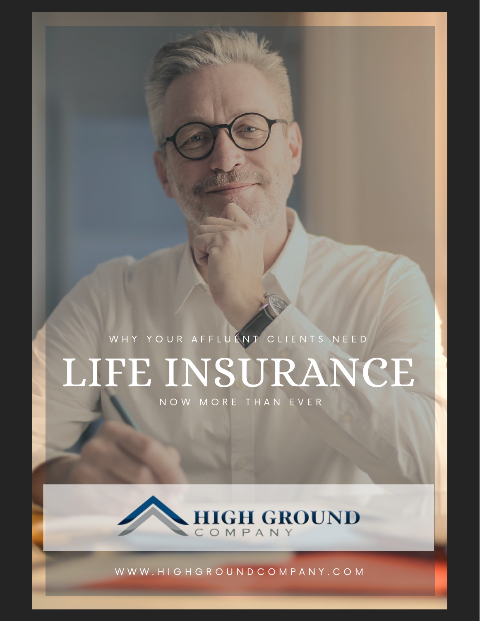WHY YOUR AFFLUENT CLIENTS NEED

# LIFE INSURANCE

N O W M O R E T H A N E V E R



W W W . H I G H G R O U N D C O M P A N Y . C O M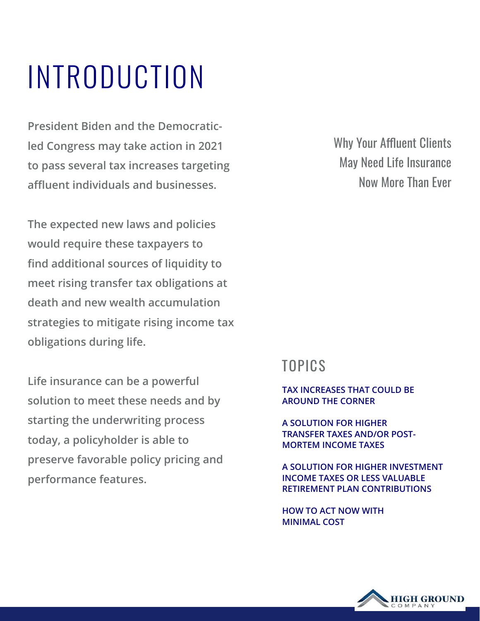## INTRODUCTION

**President Biden and the Democraticled Congress may take action in 2021 to pass several tax increases targeting affluent individuals and businesses.** 

**The expected new laws and policies would require these taxpayers to find additional sources of liquidity to meet rising transfer tax obligations at death and new wealth accumulation strategies to mitigate rising income tax obligations during life.** 

**Life insurance can be a powerful solution to meet these needs and by starting the underwriting process today, a policyholder is able to preserve favorable policy pricing and performance features.**

Why Your Affluent Clients May Need Life Insurance Now More Than Ever

#### TOPICS

**TAX INCREASES THAT COULD BE AROUND THE CORNER** 

**A SOLUTION FOR HIGHER TRANSFER TAXES AND/OR POST-MORTEM INCOME TAXES**

**A SOLUTION FOR HIGHER INVESTMENT INCOME TAXES OR LESS VALUABLE RETIREMENT PLAN CONTRIBUTIONS**

**HOW TO ACT NOW WITH MINIMAL COST**

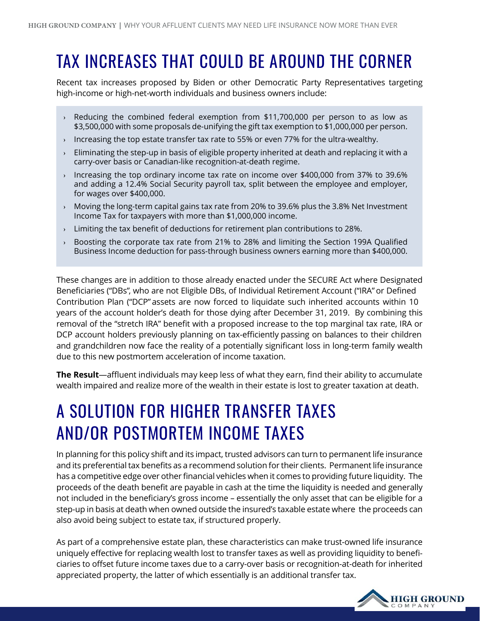## TAX INCREASES THAT COULD BE AROUND THE CORNER

Recent tax increases proposed by Biden or other Democratic Party Representatives targeting high-income or high-net-worth individuals and business owners include:

- **›** Reducing the combined federal exemption from \$11,700,000 per person to as low as \$3,500,000 with some proposals de-unifying the gift tax exemption to \$1,000,000 per person.
- **›** Increasing the top estate transfer tax rate to 55% or even 77% for the ultra-wealthy.
- **›** Eliminating the step-up in basis of eligible property inherited at death and replacing it with a carry-over basis or Canadian-like recognition-at-death regime.
- **›** Increasing the top ordinary income tax rate on income over \$400,000 from 37% to 39.6% and adding a 12.4% Social Security payroll tax, split between the employee and employer, for wages over \$400,000.
- **›** Moving the long-term capital gains tax rate from 20% to 39.6% plus the 3.8% Net Investment Income Tax for taxpayers with more than \$1,000,000 income.
- **›** Limiting the tax benefit of deductions for retirement plan contributions to 28%.
- **›** Boosting the corporate tax rate from 21% to 28% and limiting the Section 199A Qualified Business Income deduction for pass-through business owners earning more than \$400,000.

These changes are in addition to those already enacted under the SECURE Act where Designated Beneficiaries ("DBs", who are not Eligible DBs, of Individual Retirement Account ("IRA" or Defined Contribution Plan ("DCP" assets are now forced to liquidate such inherited accounts within 10 years of the account holder's death for those dying after December 31, 2019. By combining this removal of the "stretch IRA" benefit with a proposed increase to the top marginal tax rate, IRA or DCP account holders previously planning on tax-efficiently passing on balances to their children and grandchildren now face the reality of a potentially significant loss in long-term family wealth due to this new postmortem acceleration of income taxation.

**The Result**—affluent individuals may keep less of what they earn, find their ability to accumulate wealth impaired and realize more of the wealth in their estate is lost to greater taxation at death.

### A SOLUTION FOR HIGHER TRANSFER TAXES AND/OR POSTMORTEM INCOME TAXES

In planning for this policy shift and its impact, trusted advisors can turn to permanent life insurance and its preferential tax benefits as a recommend solution for their clients. Permanent life insurance has a competitive edge over other financial vehicles when it comes to providing future liquidity. The proceeds of the death benefit are payable in cash at the time the liquidity is needed and generally not included in the beneficiary's gross income – essentially the only asset that can be eligible for a step-up in basis at death when owned outside the insured's taxable estate where the proceeds can also avoid being subject to estate tax, if structured properly.

As part of a comprehensive estate plan, these characteristics can make trust-owned life insurance uniquely effective for replacing wealth lost to transfer taxes as well as providing liquidity to beneficiaries to offset future income taxes due to a carry-over basis or recognition-at-death for inherited appreciated property, the latter of which essentially is an additional transfer tax.

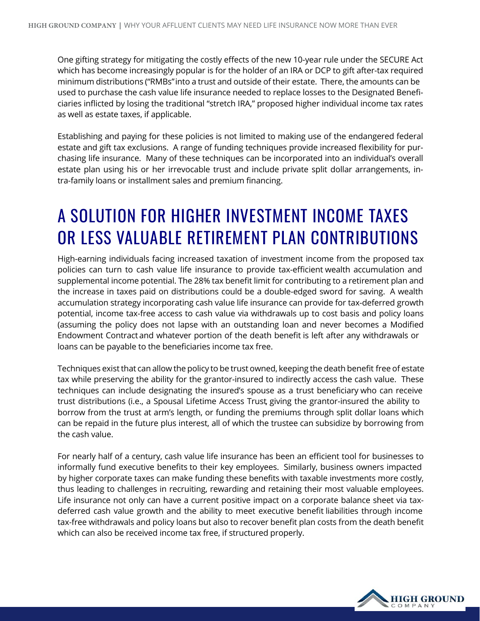One gifting strategy for mitigating the costly effects of the new 10-year rule under the SECURE Act which has become increasingly popular is for the holder of an IRA or DCP to gift after-tax required minimum distributions ("RMBs" into a trust and outside of their estate. There, the amounts can be used to purchase the cash value life insurance needed to replace losses to the Designated Beneficiaries inflicted by losing the traditional "stretch IRA," proposed higher individual income tax rates as well as estate taxes, if applicable.

Establishing and paying for these policies is not limited to making use of the endangered federal estate and gift tax exclusions. A range of funding techniques provide increased flexibility for purchasing life insurance. Many of these techniques can be incorporated into an individual's overall estate plan using his or her irrevocable trust and include private split dollar arrangements, intra-family loans or installment sales and premium financing.

#### A SOLUTION FOR HIGHER INVESTMENT INCOME TAXES OR LESS VALUABLE RETIREMENT PLAN CONTRIBUTIONS

High-earning individuals facing increased taxation of investment income from the proposed tax policies can turn to cash value life insurance to provide tax-efficient wealth accumulation and supplemental income potential. The 28% tax benefit limit for contributing to a retirement plan and the increase in taxes paid on distributions could be a double-edged sword for saving. A wealth accumulation strategy incorporating cash value life insurance can provide for tax-deferred growth potential, income tax-free access to cash value via withdrawals up to cost basis and policy loans (assuming the policy does not lapse with an outstanding loan and never becomes a Modified Endowment Contract and whatever portion of the death benefit is left after any withdrawals or loans can be payable to the beneficiaries income tax free.

Techniques existthat can allow the policy to be trust owned, keeping the death benefit free of estate tax while preserving the ability for the grantor-insured to indirectly access the cash value. These techniques can include designating the insured's spouse as a trust beneficiary who can receive trust distributions (i.e., a Spousal Lifetime Access Trust, giving the grantor-insured the ability to borrow from the trust at arm's length, or funding the premiums through split dollar loans which can be repaid in the future plus interest, all of which the trustee can subsidize by borrowing from the cash value.

For nearly half of a century, cash value life insurance has been an efficient tool for businesses to informally fund executive benefits to their key employees. Similarly, business owners impacted by higher corporate taxes can make funding these benefits with taxable investments more costly, thus leading to challenges in recruiting, rewarding and retaining their most valuable employees. Life insurance not only can have a current positive impact on a corporate balance sheet via taxdeferred cash value growth and the ability to meet executive benefit liabilities through income tax-free withdrawals and policy loans but also to recover benefit plan costs from the death benefit which can also be received income tax free, if structured properly.

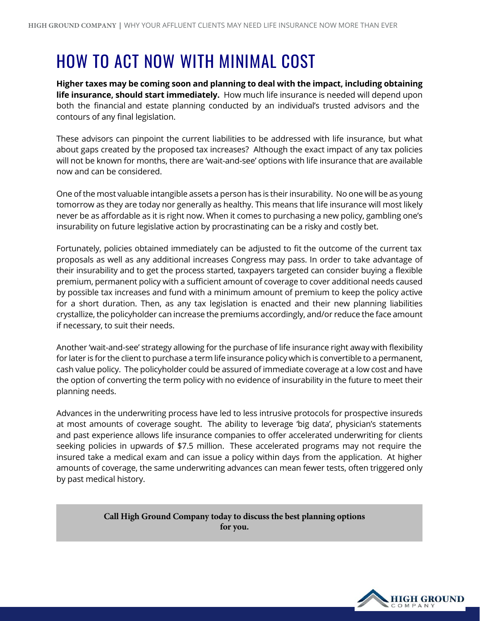#### HOW TO ACT NOW WITH MINIMAL COST

**Higher taxes may be coming soon and planning to deal with the impact, including obtaining life insurance, should start immediately.** How much life insurance is needed will depend upon both the financial and estate planning conducted by an individual's trusted advisors and the contours of any final legislation.

These advisors can pinpoint the current liabilities to be addressed with life insurance, but what about gaps created by the proposed tax increases? Although the exact impact of any tax policies will not be known for months, there are 'wait-and-see' options with life insurance that are available now and can be considered.

One of the most valuable intangible assets a person has is their insurability. No one will be as young tomorrow as they are today nor generally as healthy. This means that life insurance will most likely never be as affordable as it is right now. When it comes to purchasing a new policy, gambling one's insurability on future legislative action by procrastinating can be a risky and costly bet.

Fortunately, policies obtained immediately can be adjusted to fit the outcome of the current tax proposals as well as any additional increases Congress may pass. In order to take advantage of their insurability and to get the process started, taxpayers targeted can consider buying a flexible premium, permanent policy with a sufficient amount of coverage to cover additional needs caused by possible tax increases and fund with a minimum amount of premium to keep the policy active for a short duration. Then, as any tax legislation is enacted and their new planning liabilities crystallize, the policyholder can increase the premiums accordingly, and/or reduce the face amount if necessary, to suit their needs.

Another 'wait-and-see' strategy allowing for the purchase of life insurance right away with flexibility for later is for the client to purchase a term life insurance policy which is convertible to a permanent, cash value policy. The policyholder could be assured of immediate coverage at a low cost and have the option of converting the term policy with no evidence of insurability in the future to meet their planning needs.

Advances in the underwriting process have led to less intrusive protocols for prospective insureds at most amounts of coverage sought. The ability to leverage 'big data', physician's statements and past experience allows life insurance companies to offer accelerated underwriting for clients seeking policies in upwards of \$7.5 million. These accelerated programs may not require the insured take a medical exam and can issue a policy within days from the application. At higher amounts of coverage, the same underwriting advances can mean fewer tests, often triggered only by past medical history.

> **Call High Ground Company today to discuss the best planning options for you.**